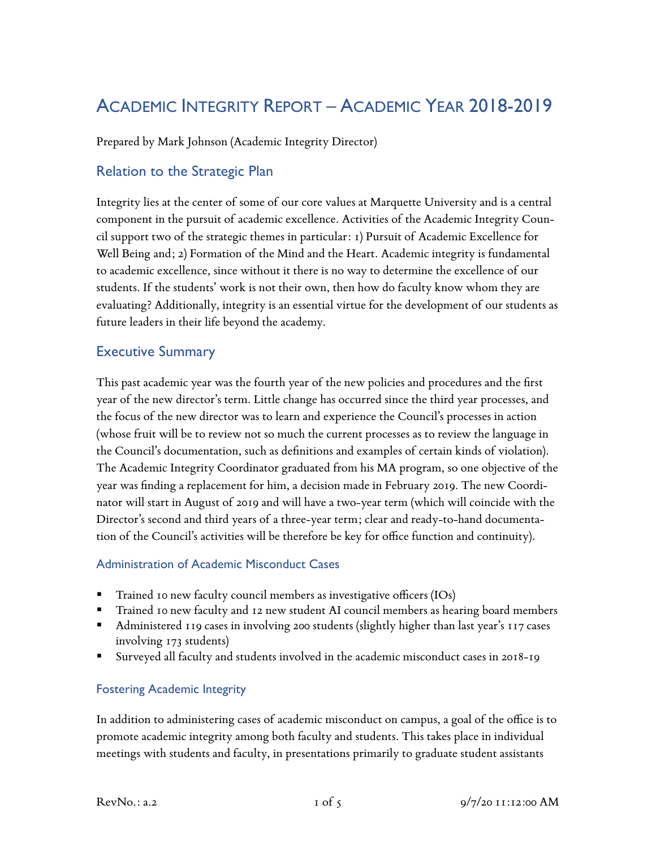# ACADEMIC INTEGRITY REPORT – ACADEMIC YEAR 2018-2019

Prepared by Mark Johnson (Academic Integrity Director)

## Relation to the Strategic Plan

Integrity lies at the center of some of our core values at Marquette University and is a central component in the pursuit of academic excellence. Activities of the Academic Integrity Council support two of the strategic themes in particular: 1) Pursuit of Academic Excellence for Well Being and; 2) Formation of the Mind and the Heart. Academic integrity is fundamental to academic excellence, since without it there is no way to determine the excellence of our students. If the students' work is not their own, then how do faculty know whom they are evaluating? Additionally, integrity is an essential virtue for the development of our students as future leaders in their life beyond the academy.

### Executive Summary

This past academic year was the fourth year of the new policies and procedures and the first year of the new director's term. Little change has occurred since the third year processes, and the focus of the new director was to learn and experience the Council's processes in action (whose fruit will be to review not so much the current processes as to review the language in the Council's documentation, such as definitions and examples of certain kinds of violation). The Academic Integrity Coordinator graduated from his MA program, so one objective of the year was finding a replacement for him, a decision made in February 2019. The new Coordinator will start in August of 2019 and will have a two-year term (which will coincide with the Director's second and third years of a three-year term; clear and ready-to-hand documentation of the Council's activities will be therefore be key for office function and continuity).

#### Administration of Academic Misconduct Cases

- § Trained 10 new faculty council members as investigative officers (IOs)
- § Trained 10 new faculty and 12 new student AI council members as hearing board members
- Administered 119 cases in involving 200 students (slightly higher than last year's 117 cases involving 173 students)
- § Surveyed all faculty and students involved in the academic misconduct cases in 2018-19

#### Fostering Academic Integrity

In addition to administering cases of academic misconduct on campus, a goal of the office is to promote academic integrity among both faculty and students. This takes place in individual meetings with students and faculty, in presentations primarily to graduate student assistants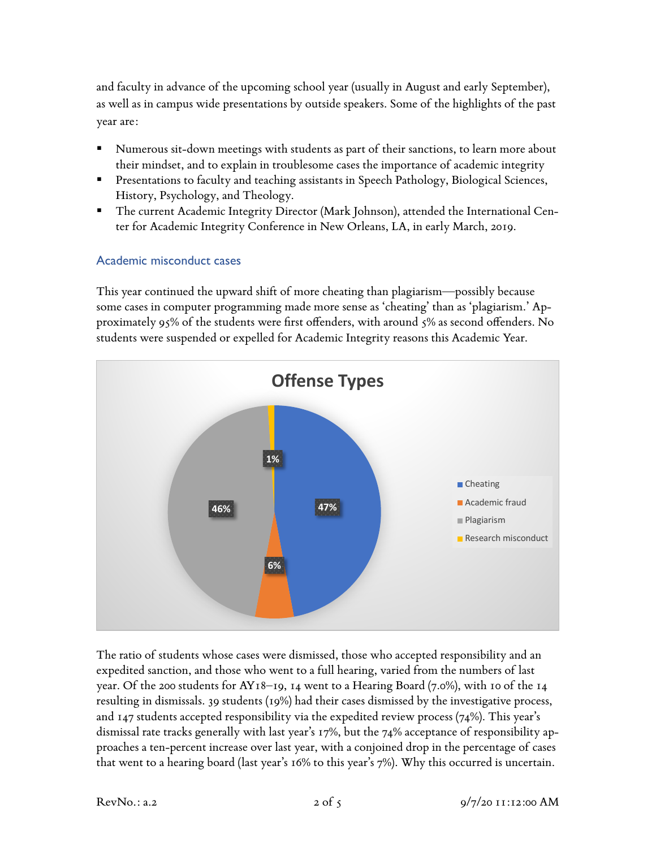and faculty in advance of the upcoming school year (usually in August and early September), as well as in campus wide presentations by outside speakers. Some of the highlights of the past year are:

- Numerous sit-down meetings with students as part of their sanctions, to learn more about their mindset, and to explain in troublesome cases the importance of academic integrity
- Presentations to faculty and teaching assistants in Speech Pathology, Biological Sciences, History, Psychology, and Theology.
- The current Academic Integrity Director (Mark Johnson), attended the International Center for Academic Integrity Conference in New Orleans, LA, in early March, 2019.

#### Academic misconduct cases

This year continued the upward shift of more cheating than plagiarism—possibly because some cases in computer programming made more sense as 'cheating' than as 'plagiarism.' Approximately 95% of the students were first offenders, with around 5% as second offenders. No students were suspended or expelled for Academic Integrity reasons this Academic Year.



The ratio of students whose cases were dismissed, those who accepted responsibility and an expedited sanction, and those who went to a full hearing, varied from the numbers of last year. Of the 200 students for AY18–19, 14 went to a Hearing Board (7.0%), with 10 of the 14 resulting in dismissals. 39 students (19%) had their cases dismissed by the investigative process, and  $147$  students accepted responsibility via the expedited review process  $(74%)$ . This year's dismissal rate tracks generally with last year's 17%, but the 74% acceptance of responsibility approaches a ten-percent increase over last year, with a conjoined drop in the percentage of cases that went to a hearing board (last year's 16% to this year's 7%). Why this occurred is uncertain.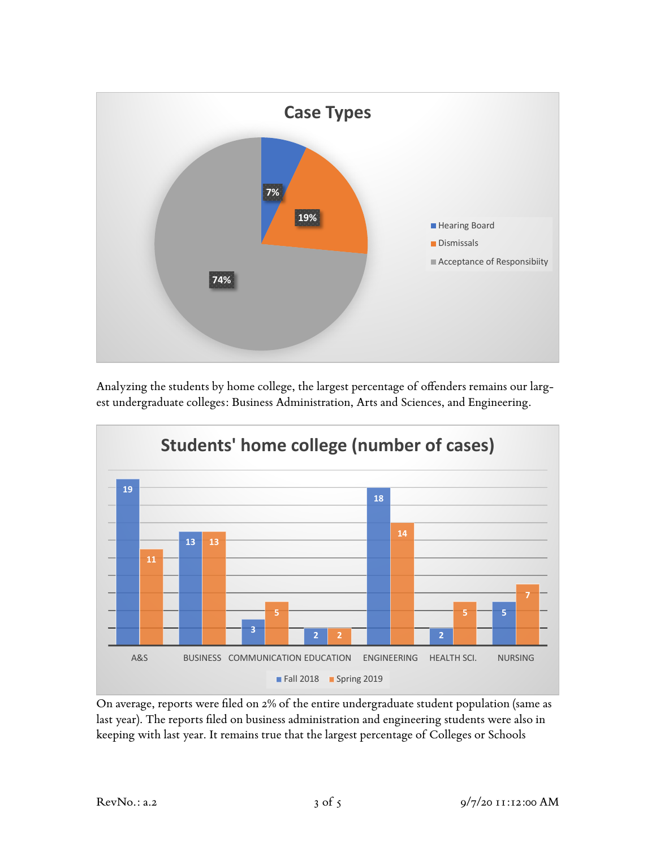

Analyzing the students by home college, the largest percentage of offenders remains our largest undergraduate colleges: Business Administration, Arts and Sciences, and Engineering.



On average, reports were filed on 2% of the entire undergraduate student population (same as last year). The reports filed on business administration and engineering students were also in keeping with last year. It remains true that the largest percentage of Colleges or Schools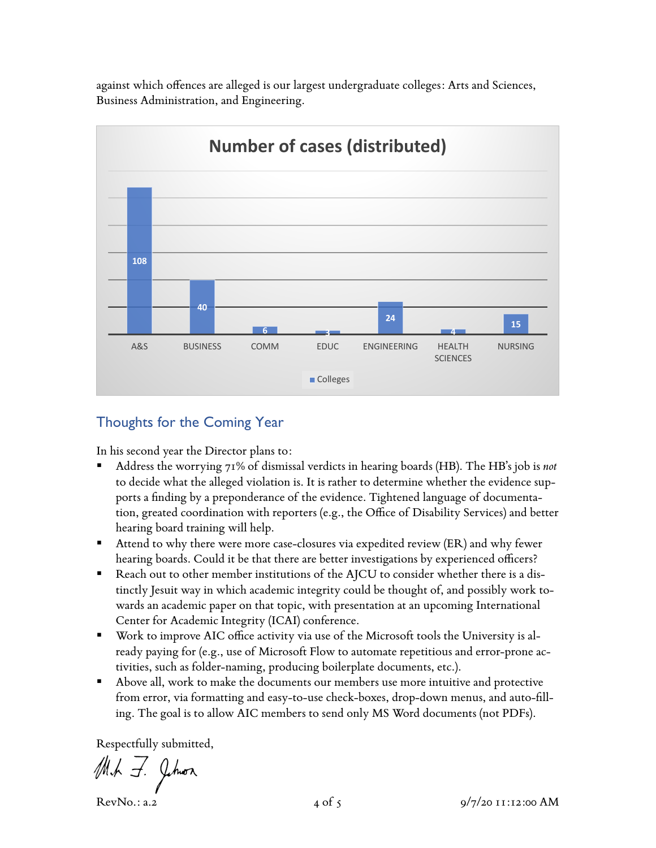against which offences are alleged is our largest undergraduate colleges: Arts and Sciences, Business Administration, and Engineering.



# Thoughts for the Coming Year

In his second year the Director plans to:

- § Address the worrying 71% of dismissal verdicts in hearing boards (HB). The HB's job is *not* to decide what the alleged violation is. It is rather to determine whether the evidence supports a finding by a preponderance of the evidence. Tightened language of documentation, greated coordination with reporters (e.g., the Office of Disability Services) and better hearing board training will help.
- Attend to why there were more case-closures via expedited review (ER) and why fewer hearing boards. Could it be that there are better investigations by experienced officers?
- Reach out to other member institutions of the AJCU to consider whether there is a distinctly Jesuit way in which academic integrity could be thought of, and possibly work towards an academic paper on that topic, with presentation at an upcoming International Center for Academic Integrity (ICAI) conference.
- § Work to improve AIC office activity via use of the Microsoft tools the University is already paying for (e.g., use of Microsoft Flow to automate repetitious and error-prone activities, such as folder-naming, producing boilerplate documents, etc.).
- Above all, work to make the documents our members use more intuitive and protective from error, via formatting and easy-to-use check-boxes, drop-down menus, and auto-filling. The goal is to allow AIC members to send only MS Word documents (not PDFs).

Respectfully submitted,